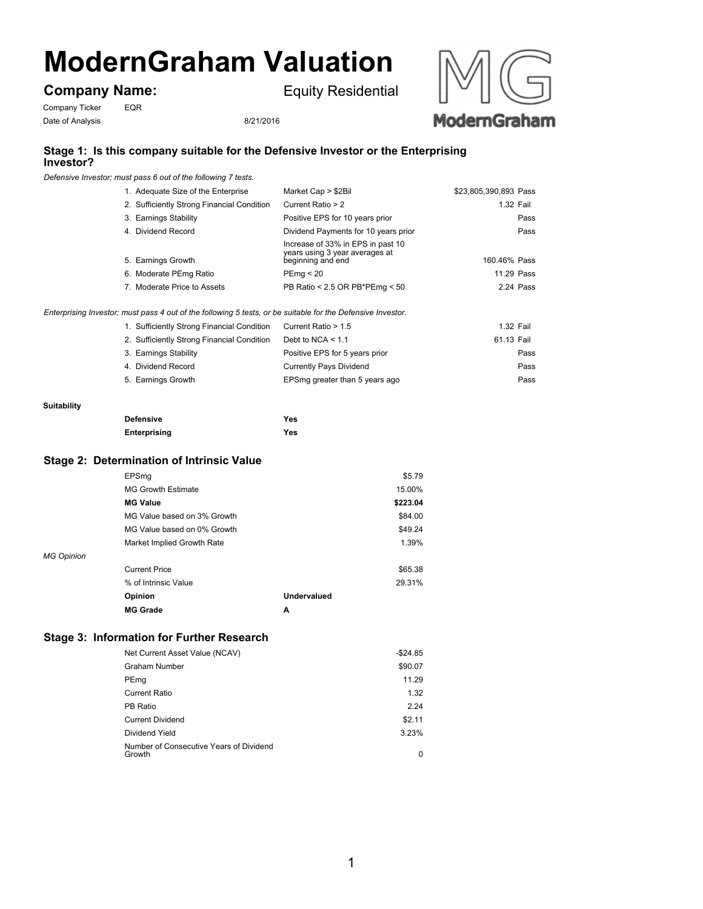# **ModernGraham Valuation**

**Company Name:**

Equity Residential





## **Stage 1: Is this company suitable for the Defensive Investor or the Enterprising Investor?**

*Defensive Investor; must pass 6 out of the following 7 tests.*

| 1. Adequate Size of the Enterprise         | Market Cap > \$2Bil                                                                      | \$23,805,390,893 Pass |
|--------------------------------------------|------------------------------------------------------------------------------------------|-----------------------|
| 2. Sufficiently Strong Financial Condition | Current Ratio > 2                                                                        | 1.32 Fail             |
| 3. Earnings Stability                      | Positive EPS for 10 years prior                                                          | Pass                  |
| 4. Dividend Record                         | Dividend Payments for 10 years prior                                                     | Pass                  |
| 5. Earnings Growth                         | Increase of 33% in EPS in past 10<br>years using 3 year averages at<br>beginning and end | 160.46% Pass          |
| 6. Moderate PEmg Ratio                     | PEmq < 20                                                                                | 11.29 Pass            |
| 7. Moderate Price to Assets                | PB Ratio < 2.5 OR PB*PEmg < 50                                                           | 2.24 Pass             |
|                                            |                                                                                          |                       |

*Enterprising Investor; must pass 4 out of the following 5 tests, or be suitable for the Defensive Investor.*

| 1. Sufficiently Strong Financial Condition | Current Ratio > 1.5            | 1.32 Fail  |
|--------------------------------------------|--------------------------------|------------|
| 2. Sufficiently Strong Financial Condition | Debt to NCA $< 1.1$            | 61.13 Fail |
| 3. Earnings Stability                      | Positive EPS for 5 years prior | Pass       |
| 4. Dividend Record                         | Currently Pays Dividend        | Pass       |
| 5. Earnings Growth                         | EPSmg greater than 5 years ago | Pass       |

#### **Suitability**

| <b>Defensive</b> | Yes |
|------------------|-----|
| Enterprising     | Yes |

### **Stage 2: Determination of Intrinsic Value**

|                   | EPSmq                       |             | \$5.79   |
|-------------------|-----------------------------|-------------|----------|
|                   | <b>MG Growth Estimate</b>   |             | 15.00%   |
|                   | <b>MG Value</b>             |             | \$223.04 |
|                   | MG Value based on 3% Growth |             | \$84.00  |
|                   | MG Value based on 0% Growth |             | \$49.24  |
|                   | Market Implied Growth Rate  |             | 1.39%    |
| <b>MG Opinion</b> |                             |             |          |
|                   | <b>Current Price</b>        |             | \$65.38  |
|                   | % of Intrinsic Value        |             | 29.31%   |
|                   | Opinion                     | Undervalued |          |
|                   | <b>MG Grade</b>             | A           |          |

## **Stage 3: Information for Further Research**

| Net Current Asset Value (NCAV)                    | $-$ \$24.85 |
|---------------------------------------------------|-------------|
| <b>Graham Number</b>                              | \$90.07     |
| PEmg                                              | 11.29       |
| Current Ratio                                     | 1.32        |
| PB Ratio                                          | 2.24        |
| <b>Current Dividend</b>                           | \$2.11      |
| Dividend Yield                                    | 3.23%       |
| Number of Consecutive Years of Dividend<br>Growth | 0           |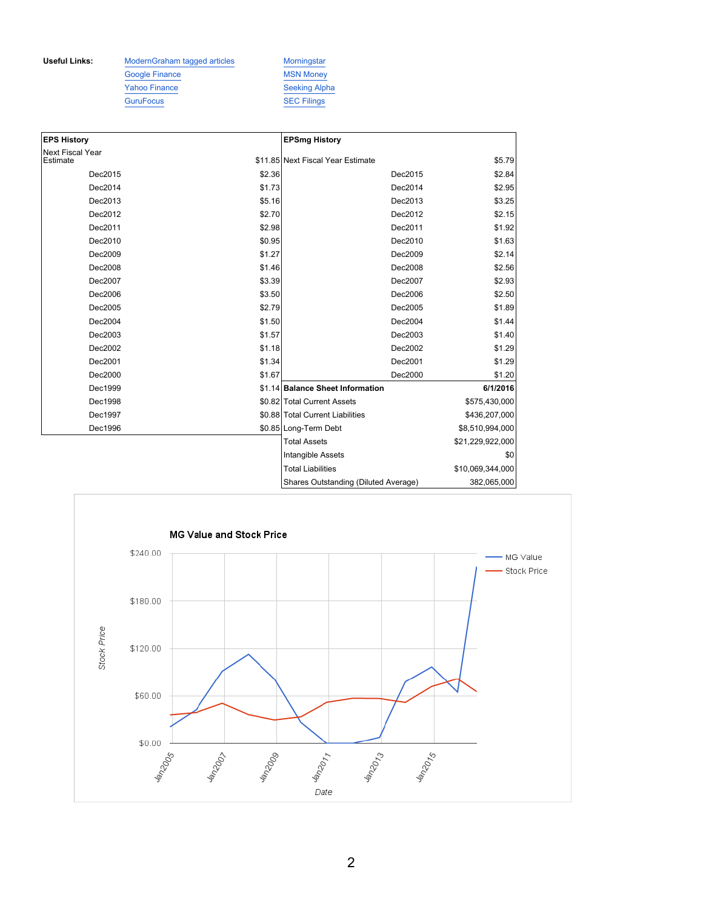**Useful Links:** ModernGraham tagged articles Morningstar Google Finance MSN Money Yahoo Finance Seeking Alpha GuruFocus SEC Filings

| <b>EPS History</b>           |        | <b>EPSmg History</b>                 |                  |
|------------------------------|--------|--------------------------------------|------------------|
| Next Fiscal Year<br>Estimate |        | \$11.85 Next Fiscal Year Estimate    | \$5.79           |
| Dec2015                      | \$2.36 | Dec2015                              | \$2.84           |
| Dec2014                      | \$1.73 | Dec2014                              | \$2.95           |
| Dec2013                      | \$5.16 | Dec2013                              | \$3.25           |
| Dec2012                      | \$2.70 | Dec2012                              | \$2.15           |
| Dec2011                      | \$2.98 | Dec2011                              | \$1.92           |
| Dec2010                      | \$0.95 | Dec2010                              | \$1.63           |
| Dec2009                      | \$1.27 | Dec2009                              | \$2.14           |
| Dec2008                      | \$1.46 | Dec2008                              | \$2.56           |
| Dec2007                      | \$3.39 | Dec2007                              | \$2.93           |
| Dec2006                      | \$3.50 | Dec2006                              | \$2.50           |
| Dec2005                      | \$2.79 | Dec2005                              | \$1.89           |
| Dec2004                      | \$1.50 | Dec2004                              | \$1.44           |
| Dec2003                      | \$1.57 | Dec2003                              | \$1.40           |
| Dec2002                      | \$1.18 | Dec2002                              | \$1.29           |
| Dec2001                      | \$1.34 | Dec2001                              | \$1.29           |
| Dec2000                      | \$1.67 | Dec2000                              | \$1.20           |
| Dec1999                      |        | \$1.14 Balance Sheet Information     | 6/1/2016         |
| Dec1998                      |        | \$0.82 Total Current Assets          | \$575,430,000    |
| Dec1997                      |        | \$0.88 Total Current Liabilities     | \$436,207,000    |
| Dec1996                      |        | \$0.85 Long-Term Debt                | \$8,510,994,000  |
|                              |        | <b>Total Assets</b>                  | \$21,229,922,000 |
|                              |        | Intangible Assets                    | \$0              |
|                              |        | <b>Total Liabilities</b>             | \$10,069,344,000 |
|                              |        | Shares Outstanding (Diluted Average) | 382,065,000      |